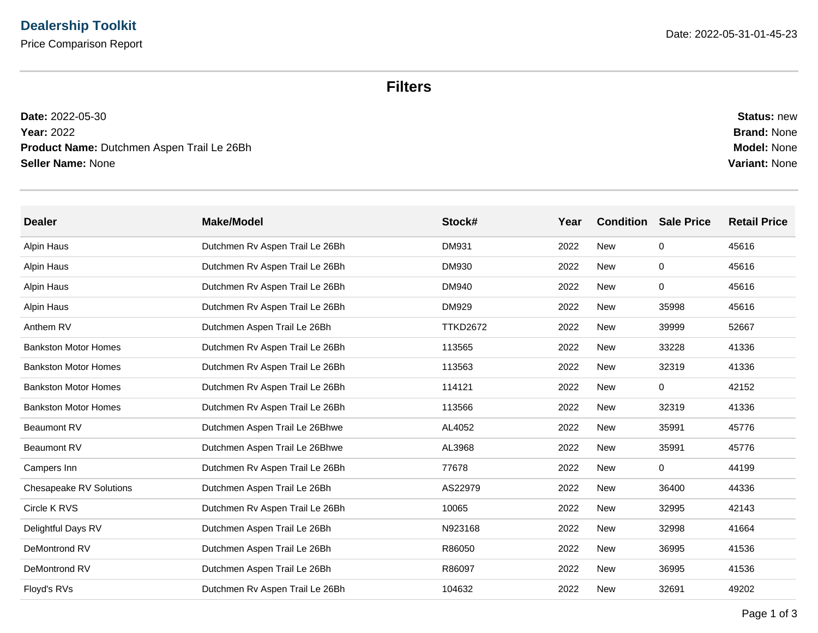## **Filters**

| <b>Status: new</b>   |
|----------------------|
| <b>Brand: None</b>   |
| <b>Model: None</b>   |
| <b>Variant: None</b> |
|                      |

| <b>Dealer</b>                  | <b>Make/Model</b>               | Stock#          | Year | <b>Condition</b> | <b>Sale Price</b> | <b>Retail Price</b> |
|--------------------------------|---------------------------------|-----------------|------|------------------|-------------------|---------------------|
| Alpin Haus                     | Dutchmen Rv Aspen Trail Le 26Bh | <b>DM931</b>    | 2022 | <b>New</b>       | 0                 | 45616               |
| Alpin Haus                     | Dutchmen Rv Aspen Trail Le 26Bh | <b>DM930</b>    | 2022 | <b>New</b>       | 0                 | 45616               |
| Alpin Haus                     | Dutchmen Rv Aspen Trail Le 26Bh | <b>DM940</b>    | 2022 | <b>New</b>       | $\mathbf 0$       | 45616               |
| Alpin Haus                     | Dutchmen Rv Aspen Trail Le 26Bh | DM929           | 2022 | New              | 35998             | 45616               |
| Anthem RV                      | Dutchmen Aspen Trail Le 26Bh    | <b>TTKD2672</b> | 2022 | New              | 39999             | 52667               |
| <b>Bankston Motor Homes</b>    | Dutchmen Rv Aspen Trail Le 26Bh | 113565          | 2022 | New              | 33228             | 41336               |
| <b>Bankston Motor Homes</b>    | Dutchmen Rv Aspen Trail Le 26Bh | 113563          | 2022 | New              | 32319             | 41336               |
| <b>Bankston Motor Homes</b>    | Dutchmen Rv Aspen Trail Le 26Bh | 114121          | 2022 | New              | 0                 | 42152               |
| <b>Bankston Motor Homes</b>    | Dutchmen Rv Aspen Trail Le 26Bh | 113566          | 2022 | <b>New</b>       | 32319             | 41336               |
| <b>Beaumont RV</b>             | Dutchmen Aspen Trail Le 26Bhwe  | AL4052          | 2022 | <b>New</b>       | 35991             | 45776               |
| <b>Beaumont RV</b>             | Dutchmen Aspen Trail Le 26Bhwe  | AL3968          | 2022 | <b>New</b>       | 35991             | 45776               |
| Campers Inn                    | Dutchmen Rv Aspen Trail Le 26Bh | 77678           | 2022 | <b>New</b>       | $\mathbf 0$       | 44199               |
| <b>Chesapeake RV Solutions</b> | Dutchmen Aspen Trail Le 26Bh    | AS22979         | 2022 | <b>New</b>       | 36400             | 44336               |
| Circle K RVS                   | Dutchmen Rv Aspen Trail Le 26Bh | 10065           | 2022 | <b>New</b>       | 32995             | 42143               |
| Delightful Days RV             | Dutchmen Aspen Trail Le 26Bh    | N923168         | 2022 | New              | 32998             | 41664               |
| DeMontrond RV                  | Dutchmen Aspen Trail Le 26Bh    | R86050          | 2022 | New              | 36995             | 41536               |
| DeMontrond RV                  | Dutchmen Aspen Trail Le 26Bh    | R86097          | 2022 | New              | 36995             | 41536               |
| Floyd's RVs                    | Dutchmen Rv Aspen Trail Le 26Bh | 104632          | 2022 | <b>New</b>       | 32691             | 49202               |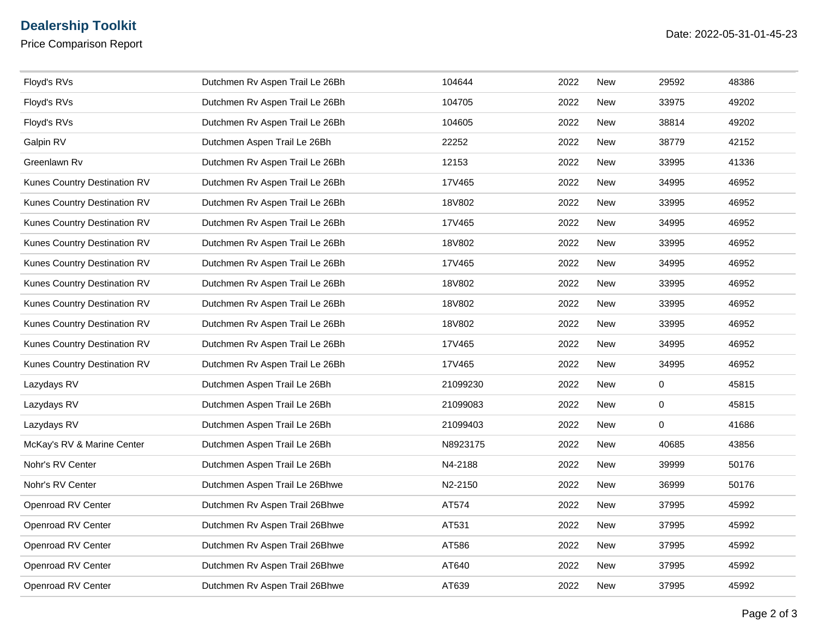## **Dealership Toolkit**

Price Comparison Report

| Floyd's RVs                  | Dutchmen Rv Aspen Trail Le 26Bh | 104644   | 2022 | <b>New</b> | 29592       | 48386 |
|------------------------------|---------------------------------|----------|------|------------|-------------|-------|
| Floyd's RVs                  | Dutchmen Rv Aspen Trail Le 26Bh | 104705   | 2022 | New        | 33975       | 49202 |
| Floyd's RVs                  | Dutchmen Rv Aspen Trail Le 26Bh | 104605   | 2022 | New        | 38814       | 49202 |
| Galpin RV                    | Dutchmen Aspen Trail Le 26Bh    | 22252    | 2022 | New        | 38779       | 42152 |
| Greenlawn Rv                 | Dutchmen Rv Aspen Trail Le 26Bh | 12153    | 2022 | New        | 33995       | 41336 |
| Kunes Country Destination RV | Dutchmen Rv Aspen Trail Le 26Bh | 17V465   | 2022 | <b>New</b> | 34995       | 46952 |
| Kunes Country Destination RV | Dutchmen Rv Aspen Trail Le 26Bh | 18V802   | 2022 | <b>New</b> | 33995       | 46952 |
| Kunes Country Destination RV | Dutchmen Rv Aspen Trail Le 26Bh | 17V465   | 2022 | New        | 34995       | 46952 |
| Kunes Country Destination RV | Dutchmen Rv Aspen Trail Le 26Bh | 18V802   | 2022 | New        | 33995       | 46952 |
| Kunes Country Destination RV | Dutchmen Rv Aspen Trail Le 26Bh | 17V465   | 2022 | <b>New</b> | 34995       | 46952 |
| Kunes Country Destination RV | Dutchmen Rv Aspen Trail Le 26Bh | 18V802   | 2022 | New        | 33995       | 46952 |
| Kunes Country Destination RV | Dutchmen Rv Aspen Trail Le 26Bh | 18V802   | 2022 | New        | 33995       | 46952 |
| Kunes Country Destination RV | Dutchmen Rv Aspen Trail Le 26Bh | 18V802   | 2022 | New        | 33995       | 46952 |
| Kunes Country Destination RV | Dutchmen Rv Aspen Trail Le 26Bh | 17V465   | 2022 | New        | 34995       | 46952 |
| Kunes Country Destination RV | Dutchmen Rv Aspen Trail Le 26Bh | 17V465   | 2022 | <b>New</b> | 34995       | 46952 |
| Lazydays RV                  | Dutchmen Aspen Trail Le 26Bh    | 21099230 | 2022 | <b>New</b> | 0           | 45815 |
| Lazydays RV                  | Dutchmen Aspen Trail Le 26Bh    | 21099083 | 2022 | New        | 0           | 45815 |
| Lazydays RV                  | Dutchmen Aspen Trail Le 26Bh    | 21099403 | 2022 | New        | $\mathsf 0$ | 41686 |
| McKay's RV & Marine Center   | Dutchmen Aspen Trail Le 26Bh    | N8923175 | 2022 | <b>New</b> | 40685       | 43856 |
| Nohr's RV Center             | Dutchmen Aspen Trail Le 26Bh    | N4-2188  | 2022 | New        | 39999       | 50176 |
| Nohr's RV Center             | Dutchmen Aspen Trail Le 26Bhwe  | N2-2150  | 2022 | New        | 36999       | 50176 |
| Openroad RV Center           | Dutchmen Rv Aspen Trail 26Bhwe  | AT574    | 2022 | New        | 37995       | 45992 |
| Openroad RV Center           | Dutchmen Rv Aspen Trail 26Bhwe  | AT531    | 2022 | New        | 37995       | 45992 |
| Openroad RV Center           | Dutchmen Rv Aspen Trail 26Bhwe  | AT586    | 2022 | <b>New</b> | 37995       | 45992 |
| Openroad RV Center           | Dutchmen Rv Aspen Trail 26Bhwe  | AT640    | 2022 | New        | 37995       | 45992 |
| Openroad RV Center           | Dutchmen Rv Aspen Trail 26Bhwe  | AT639    | 2022 | New        | 37995       | 45992 |